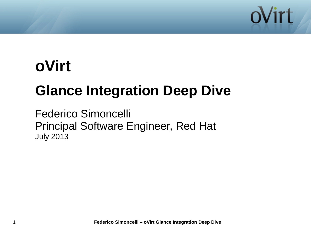

# **oVirt**

# **Glance Integration Deep Dive**

Federico Simoncelli Principal Software Engineer, Red Hat July 2013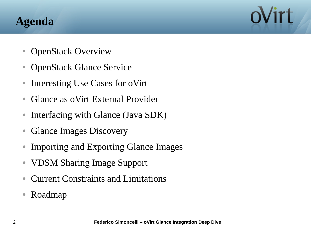## **Agenda**

- OpenStack Overview
- OpenStack Glance Service
- Interesting Use Cases for oVirt
- Glance as oVirt External Provider
- Interfacing with Glance (Java SDK)
- Glance Images Discovery
- Importing and Exporting Glance Images
- VDSM Sharing Image Support
- Current Constraints and Limitations
- Roadmap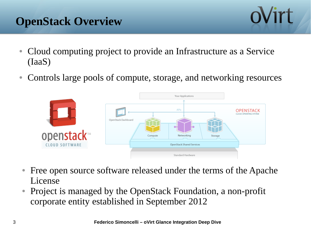# **OpenStack Overview**

- Cloud computing project to provide an Infrastructure as a Service (IaaS)
- Controls large pools of compute, storage, and networking resources



- Free open source software released under the terms of the Apache License
- Project is managed by the OpenStack Foundation, a non-profit corporate entity established in September 2012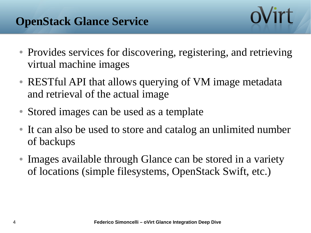- Provides services for discovering, registering, and retrieving virtual machine images
- RESTful API that allows querying of VM image metadata and retrieval of the actual image
- Stored images can be used as a template
- It can also be used to store and catalog an unlimited number of backups
- Images available through Glance can be stored in a variety of locations (simple filesystems, OpenStack Swift, etc.)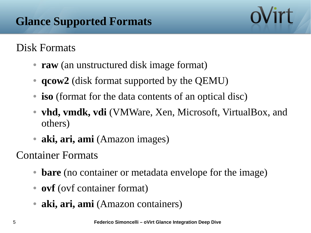#### Disk Formats

- **raw** (an unstructured disk image format)
- **qcow2** (disk format supported by the QEMU)
- **iso** (format for the data contents of an optical disc)
- **vhd, vmdk, vdi** (VMWare, Xen, Microsoft, VirtualBox, and others)
- **aki, ari, ami** (Amazon images)

Container Formats

- **bare** (no container or metadata envelope for the image)
- **ovf** (ovf container format)
- aki, ari, ami (Amazon containers)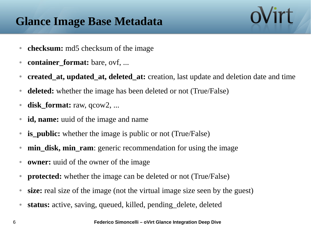# **Glance Image Base Metadata**

- **checksum:** md5 checksum of the image
- **container\_format:** bare, ovf, ...
- **created\_at, updated\_at, deleted\_at:** creation, last update and deletion date and time
- **deleted:** whether the image has been deleted or not (True/False)
- **disk\_format:** raw, qcow2, ...
- **id, name:** uuid of the image and name
- **is\_public:** whether the image is public or not (True/False)
- **min\_disk, min\_ram**: generic recommendation for using the image
- **owner:** uuid of the owner of the image
- **protected:** whether the image can be deleted or not (True/False)
- **size:** real size of the image (not the virtual image size seen by the guest)
- **status:** active, saving, queued, killed, pending\_delete, deleted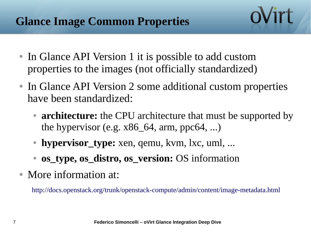- In Glance API Version 1 it is possible to add custom properties to the images (not officially standardized)
- In Glance API Version 2 some additional custom properties have been standardized:
	- **architecture:** the CPU architecture that must be supported by the hypervisor (e.g.  $x86\_64$ , arm, ppc $64$ , ...)
	- **hypervisor\_type:** xen, qemu, kvm, lxc, uml, ...
	- **os\_type, os\_distro, os\_version:** OS information
- More information at:

<http://docs.openstack.org/trunk/openstack-compute/admin/content/image-metadata.html>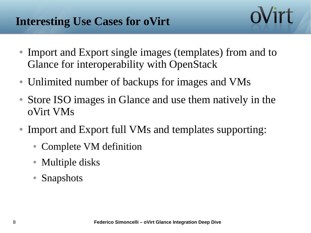- Import and Export single images (templates) from and to Glance for interoperability with OpenStack
- Unlimited number of backups for images and VMs
- Store ISO images in Glance and use them natively in the oVirt VMs
- Import and Export full VMs and templates supporting:
	- Complete VM definition
	- **Multiple disks**
	- **Snapshots**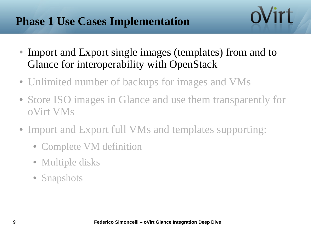#### **Phase 1 Use Cases Implementation**

• Import and Export single images (templates) from and to Glance for interoperability with OpenStack

- Unlimited number of backups for images and VMs
- Store ISO images in Glance and use them transparently for oVirt VMs
- Import and Export full VMs and templates supporting:
	- Complete VM definition
	- Multiple disks
	- Snapshots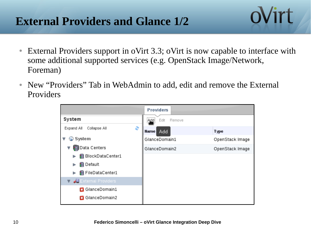#### **External Providers and Glance 1/2**

● External Providers support in oVirt 3.3; oVirt is now capable to interface with some additional supported services (e.g. OpenStack Image/Network, Foreman)

ovirt

• New "Providers" Tab in WebAdmin to add, edit and remove the External Providers

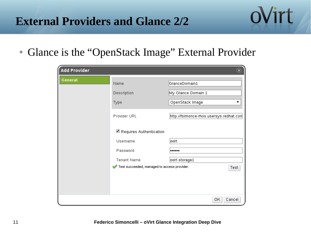#### **External Providers and Glance 2/2**

• Glance is the "OpenStack Image" External Provider

| <b>Add Provider</b> |                                             | $\widehat{\textbf{x}}$                  |
|---------------------|---------------------------------------------|-----------------------------------------|
| <b>General</b>      | Name                                        | GlanceDomain1                           |
|                     | Description                                 | My Glance Domain 1                      |
|                     | Type                                        | OpenStack Image                         |
|                     | Provider URL                                | http://fsimonce-rhos.usersys.redhat.com |
|                     | Requires Authentication                     |                                         |
|                     | Username                                    | ovirt                                   |
|                     | Password                                    |                                         |
|                     | Tenant Name                                 | ovirt-storage1                          |
|                     | Test succeeded, managed to access provider. | Test                                    |
|                     |                                             |                                         |
|                     |                                             |                                         |
|                     |                                             | ОΚ<br>Cancel                            |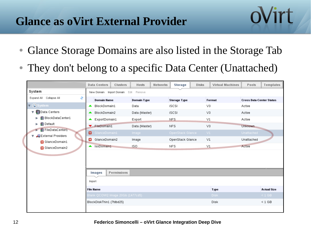#### **Glance as oVirt External Provider**

• Glance Storage Domains are also listed in the Storage Tab

ovirt

• They don't belong to a specific Data Center (Unattached)

|                                       | <b>Data Centers</b>              | Clusters                             | <b>Hosts</b>       | Networks | <b>Storage</b>      | <b>Disks</b>  | <b>Virtual Machines</b> | Pools                           | Templates          |
|---------------------------------------|----------------------------------|--------------------------------------|--------------------|----------|---------------------|---------------|-------------------------|---------------------------------|--------------------|
| System                                |                                  | New Domain Import Domain Edit Remove |                    |          |                     |               |                         |                                 |                    |
| Expand All Collapse All<br>e          | <b>Domain Name</b>               |                                      | <b>Domain Type</b> |          | <b>Storage Type</b> | <b>Format</b> |                         | <b>Cross Data-Center Status</b> |                    |
| System<br>$\blacktriangledown$        | BlockDomain1<br>▴                |                                      | Data               |          | iSCSI               |               | V3                      | Active                          |                    |
| Data Centers<br>▼                     | BlockDomain2<br>▴                |                                      | Data (Master)      |          | iSCSI               |               | V3                      | Active                          |                    |
| BlockDataCenter1<br>ь                 | ▲ ExportDomain1                  |                                      | Export             |          | NFS.<br>V1          |               |                         | Active                          |                    |
| <b>B</b> Default<br>▶                 | FileDomain1                      |                                      | Data (Master)      |          | <b>NFS</b>          |               | V3                      | Unknown                         |                    |
| FileDataCenter1<br>External Providers | GlanceDomain1                    |                                      | Image              |          | OpenStack Glance    |               | VI                      | Unattached                      |                    |
| GlanceDomain1                         | GlanceDomain2                    |                                      | Image              |          | OpenStack Glance    |               | V1                      | Unattached                      |                    |
| GlanceDomain2                         | ▲ IsoDomain1                     |                                      | <b>ISO</b>         |          | NFS                 |               | V1                      | Active                          |                    |
|                                       |                                  |                                      |                    |          |                     |               |                         |                                 |                    |
|                                       |                                  |                                      |                    |          |                     |               |                         |                                 |                    |
|                                       | <b>Images</b>                    | Permissions                          |                    |          |                     |               |                         |                                 |                    |
|                                       | Import                           |                                      |                    |          |                     |               |                         |                                 |                    |
|                                       | <b>File Name</b>                 |                                      |                    |          |                     |               | <b>Type</b>             |                                 | <b>Actual Size</b> |
|                                       | Blank QCOW2 Image 20Gb (1477cd5) |                                      |                    |          |                     |               | <b>Disk</b>             |                                 | $\leq 1$ GB        |
|                                       | BlockDiskThin1 (7fdbd25)         |                                      |                    |          |                     |               | Disk                    |                                 | $< 1$ GB           |
|                                       |                                  |                                      |                    |          |                     |               |                         |                                 |                    |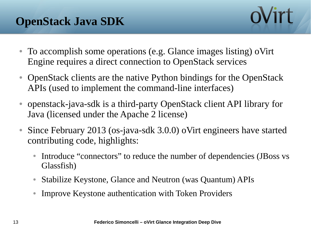

- To accomplish some operations (e.g. Glance images listing) oVirt Engine requires a direct connection to OpenStack services
- OpenStack clients are the native Python bindings for the OpenStack APIs (used to implement the command-line interfaces)
- openstack-java-sdk is a third-party OpenStack client API library for Java (licensed under the Apache 2 license)
- Since February 2013 (os-java-sdk 3.0.0) oVirt engineers have started contributing code, highlights:
	- Introduce "connectors" to reduce the number of dependencies (JBoss vs Glassfish)
	- Stabilize Keystone, Glance and Neutron (was Quantum) APIs
	- Improve Keystone authentication with Token Providers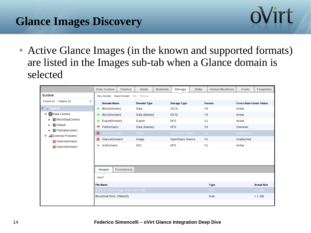# **Glance Images Discovery**



• Active Glance Images (in the known and supported formats) are listed in the Images sub-tab when a Glance domain is selected

|                                                     | <b>Data Centers</b>              | Clusters<br>Hosts  | Networks | <b>Storage</b>      | <b>Disks</b> | <b>Virtual Machines</b> | Pools                           | Templates          |
|-----------------------------------------------------|----------------------------------|--------------------|----------|---------------------|--------------|-------------------------|---------------------------------|--------------------|
| System                                              | Import Domain<br>New Domain      | Edit Remove        |          |                     |              |                         |                                 |                    |
| Collapse All<br>Expand All<br>æ                     | <b>Domain Name</b>               | <b>Domain Type</b> |          | <b>Storage Type</b> |              | <b>Format</b>           | <b>Cross Data-Center Status</b> |                    |
| $\blacktriangledown$ G system                       | BlockDomain1<br>▲                | Data               |          | iSCSI               |              | V3                      | Active                          |                    |
| Data Centers<br>v                                   | BlockDomain2<br>▴                | Data (Master)      |          | iSCSI               |              | V <sub>3</sub>          | Active                          |                    |
| BlockDataCenter1                                    | ExportDomain1<br>▲               | Export             |          | NFS                 |              | V1                      | Active                          |                    |
| <b>B</b> Default<br>►                               | ▼ FileDomain1                    | Data (Master)      |          | NFS                 |              | V3                      | Unknown                         |                    |
| <b>日 FileDataCenter1</b><br>External Providers الله | ۰<br>GlanceDomain1               | Image              |          | OpenStack Glance    |              | VI                      | Unattached                      |                    |
| GlanceDomain1                                       | GlanceDomain2<br>o               | Image              |          | OpenStack Glance    |              | V1                      | Unattached                      |                    |
| GlanceDomain2                                       | A IsoDomain1                     | ISO                |          | <b>NFS</b>          |              | V1                      | Active                          |                    |
|                                                     |                                  |                    |          |                     |              |                         |                                 |                    |
|                                                     | <b>Images</b>                    | Permissions        |          |                     |              |                         |                                 |                    |
|                                                     | Import                           |                    |          |                     |              |                         |                                 |                    |
|                                                     | <b>File Name</b>                 |                    |          |                     |              | <b>Type</b>             |                                 | <b>Actual Size</b> |
|                                                     | Blank QCOW2 Image 20Gb (1477cd5) |                    |          |                     |              | <b>Disk</b>             |                                 | $\leq 1$ GB        |
|                                                     | BlockDiskThin1 (7fdbd25)         |                    |          |                     |              | Disk                    |                                 | $< 1$ GB           |
|                                                     |                                  |                    |          |                     |              |                         |                                 |                    |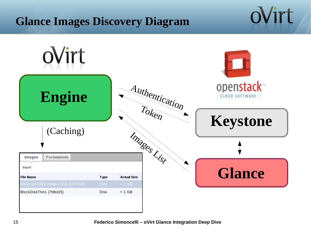#### **Glance Images Discovery Diagram**

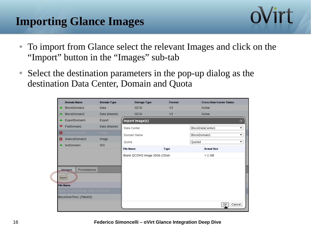# **Importing Glance Images**



- To import from Glance select the relevant Images and click on the "Import" button in the "Images" sub-tab
- Select the destination parameters in the pop-up dialog as the destination Data Center, Domain and Quota

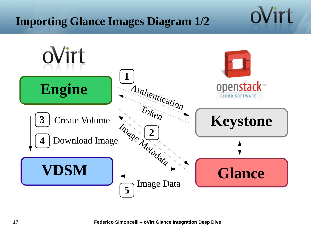#### **Importing Glance Images Diagram 1/2**

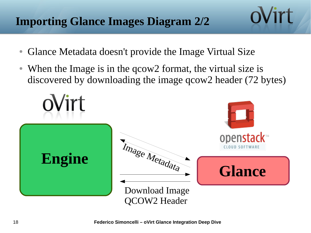## **Importing Glance Images Diagram 2/2**

- Glance Metadata doesn't provide the Image Virtual Size
- When the Image is in the qcow2 format, the virtual size is discovered by downloading the image qcow2 header (72 bytes)

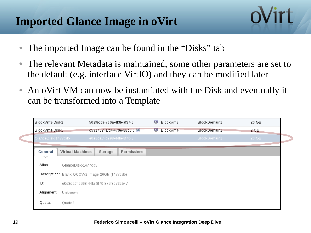### **Imported Glance Image in oVirt**

- The imported Image can be found in the "Disks" tab
- The relevant Metadata is maintained, some other parameters are set to the default (e.g. interface VirtIO) and they can be modified later

oVirt

• An oVirt VM can now be instantiated with the Disk and eventually it can be transformed into a Template

| BlockVm3-Disk2     | 502f8cb9-760a-4f3b-af37-6            |                                               | 廮<br>BlockVm3 | BlockDomain1  | 20 GB        |       |  |  |  |  |
|--------------------|--------------------------------------|-----------------------------------------------|---------------|---------------|--------------|-------|--|--|--|--|
| BlockVm4-Disk1     | c591789f-afd4-479e-88b6-1 08         |                                               |               | ш<br>BlockVm4 | BlockDomain1 | 2 GB  |  |  |  |  |
| GlanceDisk-1477cd5 |                                      | e0e3ca0f-d998-44fa-8f70-8                     |               |               | BlockDomain1 | 20 GB |  |  |  |  |
|                    |                                      |                                               | Permissions   |               |              |       |  |  |  |  |
| General            | <b>Virtual Machines</b>              | Storage                                       |               |               |              |       |  |  |  |  |
| Alias:             | GlanceDisk-1477cd5                   |                                               |               |               |              |       |  |  |  |  |
|                    |                                      | Description: Blank QCOW2 Image 20Gb (1477cd5) |               |               |              |       |  |  |  |  |
| ID:                | e0e3ca0f-d998-44fa-8f70-876f8c73cb47 |                                               |               |               |              |       |  |  |  |  |
| Alignment:         | Unknown                              |                                               |               |               |              |       |  |  |  |  |
| Quota:             | Quota3                               |                                               |               |               |              |       |  |  |  |  |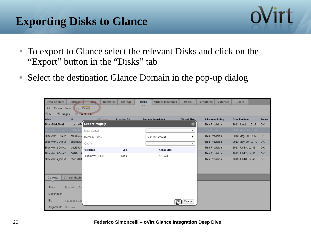#### **Exporting Disks to Glance**



ovirt

• Select the destination Glance Domain in the pop-up dialog

| <b>Data Centers</b>                  |                                   | <b>Clusters</b>      | <b>Hosts</b>            | <b>Networks</b> | <b>Storage</b>     | <b>Disks</b> | <b>Virtual Machines</b>  | Pools                               | <b>Templates</b>         | <b>Volumes</b> | <b>Users</b>          |  |               |
|--------------------------------------|-----------------------------------|----------------------|-------------------------|-----------------|--------------------|--------------|--------------------------|-------------------------------------|--------------------------|----------------|-----------------------|--|---------------|
| Export<br>Remove Move<br>Add<br>Copy |                                   |                      |                         |                 |                    |              |                          |                                     |                          |                |                       |  |               |
| $\bigcirc$ All                       | <sup>1</sup> Images<br>Direct LUN |                      |                         |                 |                    |              |                          |                                     |                          |                |                       |  |               |
| <b>Alias</b>                         |                                   | ID                   |                         | $\overline{OS}$ | <b>Attached To</b> |              | <b>Storage Domain(s)</b> | <b>Virtual Size</b>                 | <b>Allocation Policy</b> |                | <b>Creation Date</b>  |  | <b>Status</b> |
| BlockDiskThin1                       |                                   |                      | d1e1d67 Export Image(s) |                 |                    |              |                          | $(\widehat{\mathbf{x}})$            | Thin Provision           |                | 2013-Jun-11, 15:19    |  | OK            |
| BlockVm1-Disk1                       |                                   | 0328db               | Data Center             |                 |                    |              |                          | 7                                   | Preallocated             |                | 2013-May-30, 10:49 OK |  |               |
| BlockVm1-Disk2                       |                                   | e9536e2              | Domain Name             |                 |                    |              | GlanceDomain1            | ۷.                                  | Thin Provision           |                | 2013-May-30, 11:53    |  | OK            |
| BlockVm1-Disk2                       |                                   | $e$ bec $629$        | Quota                   |                 |                    |              |                          | 7                                   | Thin Provision           |                | 2013-May-30, 10:49    |  | OK            |
| BlockVm2-Disk1                       |                                   | aacf96a4             | <b>File Name</b>        |                 | <b>Type</b>        |              | <b>Actual Size</b>       |                                     | Thin Provision           |                | 2013 Jul 18, 12:31    |  | OK            |
| BlockVm3-Disk2                       |                                   | 502f8cb9             | BlockVm1-Disk1          |                 | Disk               |              | $< 1$ GB                 |                                     | Thin Provision           |                | 2013-Jul-12, 14:30    |  | OK            |
| BlockVm4_Disk1                       |                                   | c5917891             |                         |                 |                    |              |                          |                                     | Thin Provision           |                | 2013-Jul-18, 17:48    |  | OK            |
|                                      |                                   |                      |                         |                 |                    |              |                          |                                     |                          |                |                       |  |               |
|                                      |                                   |                      |                         |                 |                    |              |                          |                                     |                          |                |                       |  |               |
| General                              |                                   | <b>Virtual Machi</b> |                         |                 |                    |              |                          |                                     |                          |                |                       |  |               |
|                                      |                                   |                      |                         |                 |                    |              |                          |                                     |                          |                |                       |  |               |
| Alias:                               |                                   | BlockVm1-Di          |                         |                 |                    |              |                          |                                     |                          |                |                       |  |               |
| Description:                         |                                   |                      |                         |                 |                    |              |                          |                                     |                          |                |                       |  |               |
| ID:                                  |                                   | 0328db58-236         |                         |                 |                    |              |                          | $\overline{\mathsf{b}}$ K<br>Cancel |                          |                |                       |  |               |
| Alignment:                           | Unknown                           |                      |                         |                 |                    |              |                          |                                     |                          |                |                       |  |               |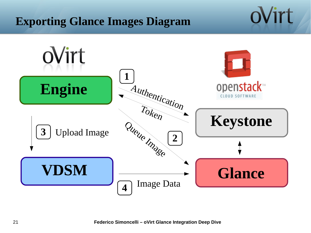#### **Exporting Glance Images Diagram**

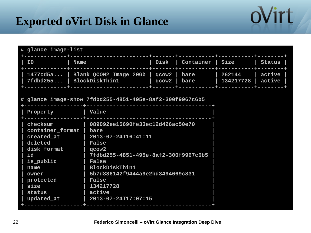#### **Exported oVirt Disk in Glance**

| # glance image-list                                                                                                                                     |                                                                                                                                                                                                                                                                                         |       |                         |                     |                  |
|---------------------------------------------------------------------------------------------------------------------------------------------------------|-----------------------------------------------------------------------------------------------------------------------------------------------------------------------------------------------------------------------------------------------------------------------------------------|-------|-------------------------|---------------------|------------------|
| ΙD<br><b>Name</b>                                                                                                                                       |                                                                                                                                                                                                                                                                                         | Disk  | <b>Container   Size</b> |                     | <b>Status</b>    |
| 1477cd5a<br>7fdbd255                                                                                                                                    | Blank QCOW2 Image 20Gb   qcow2  <br><b>BlockDiskThin1</b>                                                                                                                                                                                                                               | qcow2 | bare<br>bare            | 262144<br>134217728 | active<br>active |
|                                                                                                                                                         | # glance image-show 7fdbd255-4851-495e-8af2-300f9967c6b5                                                                                                                                                                                                                                |       |                         |                     |                  |
| Property                                                                                                                                                | Value                                                                                                                                                                                                                                                                                   |       |                         |                     |                  |
| checksum<br>container_format  <br>created at<br>deleted<br>disk_format<br>id<br>is_public<br>name<br>owner<br>protected<br>size<br>status<br>updated_at | 089092ee15690fe33ec12d426ac50e70<br>bare<br>2013-07-24T16:41:11<br><b>False</b><br>qcow <sub>2</sub><br>7fdbd255-4851-495e-8af2-300f9967c6b5<br><b>False</b><br><b>BlockDiskThin1</b><br>5b7d836142f9444a9e2bd3494669c831<br><b>False</b><br>134217728<br>active<br>2013-07-24T17:07:15 |       |                         |                     |                  |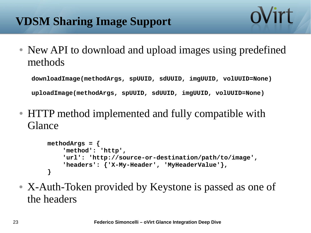• New API to download and upload images using predefined methods

**downloadImage(methodArgs, spUUID, sdUUID, imgUUID, volUUID=None)**

**uploadImage(methodArgs, spUUID, sdUUID, imgUUID, volUUID=None)**

● HTTP method implemented and fully compatible with Glance

```
methodArgs = {
     'method': 'http',
     'url': 'http://source-or-destination/path/to/image',
     'headers': {'X-My-Header', 'MyHeaderValue'},
}
```
• X-Auth-Token provided by Keystone is passed as one of the headers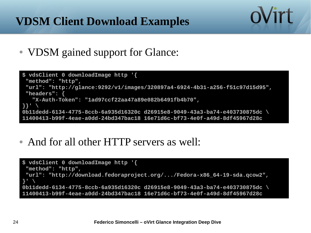# **VDSM Client Download Examples**

• VDSM gained support for Glance:

```
$ vdsClient 0 downloadImage http '{
 "method": "http",
"url": "http://glance:9292/v1/images/320897a4-6924-4b31-a256-f51c97d15d95",
"headers": {
    "X-Auth-Token": "1ad97ccf22aa47a89e082b6491fb4b70",
}}' \
0b11dedd-6134-4775-8ccb-6a935d16320c d26915e8-9049-43a3-ba74-e403730875dc \
11400413-b99f-4eae-a0dd-24bd347bac18 16e71d6c-bf73-4e0f-a49d-8df45967d28c
```
oVirt

• And for all other HTTP servers as well:

```
$ vdsClient 0 downloadImage http '{
 "method": "http",
 "url": "http://download.fedoraproject.org/.../Fedora-x86_64-19-sda.qcow2",
}' \
0b11dedd-6134-4775-8ccb-6a935d16320c d26915e8-9049-43a3-ba74-e403730875dc \
11400413-b99f-4eae-a0dd-24bd347bac18 16e71d6c-bf73-4e0f-a49d-8df45967d28c
```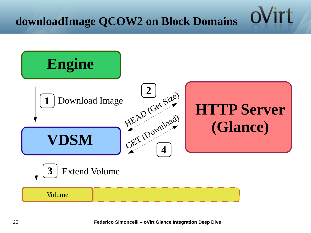ʻirt

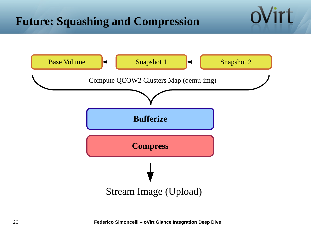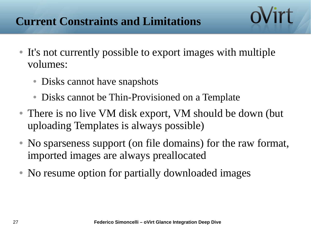## **Current Constraints and Limitations**

- It's not currently possible to export images with multiple volumes:
	- Disks cannot have snapshots
	- Disks cannot be Thin-Provisioned on a Template
- There is no live VM disk export, VM should be down (but uploading Templates is always possible)
- No sparseness support (on file domains) for the raw format, imported images are always preallocated
- No resume option for partially downloaded images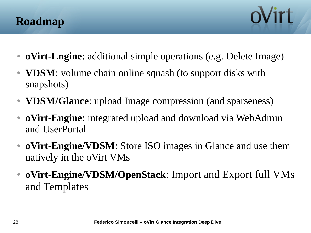



- **oVirt-Engine**: additional simple operations (e.g. Delete Image)
- **VDSM**: volume chain online squash (to support disks with snapshots)
- **VDSM/Glance**: upload Image compression (and sparseness)
- **oVirt-Engine**: integrated upload and download via WebAdmin and UserPortal
- **oVirt-Engine/VDSM**: Store ISO images in Glance and use them natively in the oVirt VMs
- **oVirt-Engine/VDSM/OpenStack**: Import and Export full VMs and Templates